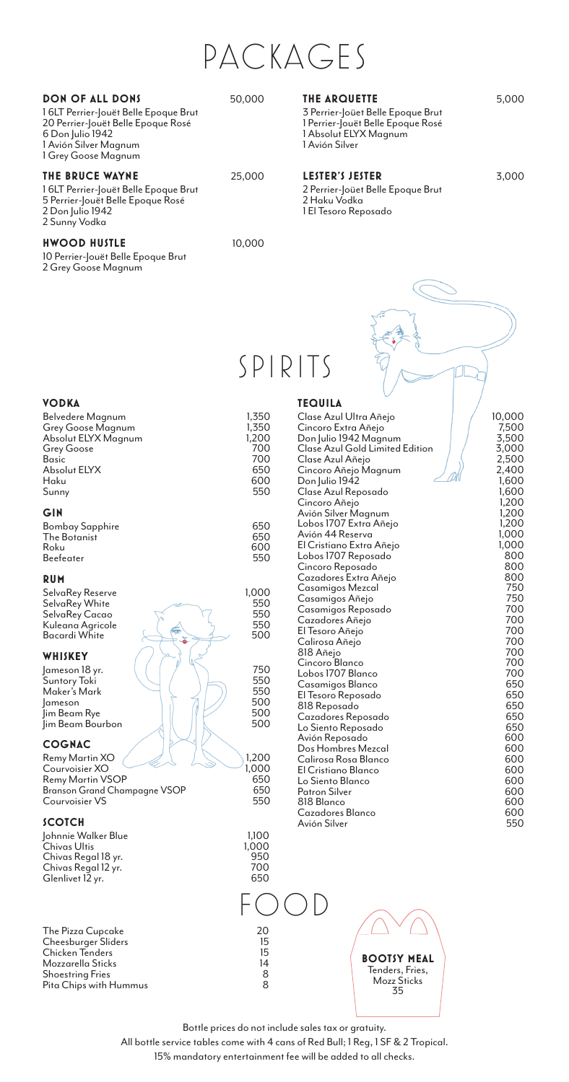PACKAGES

#### **DON OF ALL DONS** 50,000

1 6LT Perrier-Jouët Belle Epoque Brut 20 Perrier-Jouët Belle Epoque Rosé 6 Don Julio 1942 1 Avión Silver Magnum 1 Grey Goose Magnum

## **THE BRUCE WAYNE** 25,000

#### 1 6LT Perrier-Jouët Belle Epoque Brut 5 Perrier-Jouët Belle Epoque Rosé 2 Don Julio 1942

2 Sunny Vodka

#### **HWOOD HUSTLE** 10,000

10 Perrier-Jouët Belle Epoque Brut 2 Grey Goose Magnum

### **THE ARQUETTE** 5,000

3 Perrier-Joüet Belle Epoque Brut 1 Perrier-Jouët Belle Epoque Rosé 1 Absolut ELYX Magnum 1 Avión Silver

### **LESTER'S JESTER** 3,000

2 Perrier-Joüet Belle Epoque Brut 2 Haku Vodka 1 El Tesoro Reposado

# SPIRITS

**TEQUILA**

#### **VODKA**

| Belvedere Magnum<br>Grey Goose Magnum    | 1,350<br>1,350 |
|------------------------------------------|----------------|
| Absolut ELYX Magnum<br><b>Grey Goose</b> | 1,200<br>700   |
| <b>Basic</b>                             | 700            |
| Absolut ELYX                             | 650            |
| Haku                                     | 600            |
| Sunny                                    | 550            |
| GIN                                      |                |
| <b>Bombay Sapphire</b>                   | 650            |
| The Botanist                             | 650            |

| The Botanist | 650 |
|--------------|-----|
| Roku         | 600 |
| Beefeater    | 550 |
|              |     |

### **RUM**

SelvaRey Reserve 1,000 SelvaRey White 550 SelvaRey Cacao  $\sqrt{2}$  550 Kuleana Agricole  $\left( \begin{array}{ccc} \nearrow & \nearrow \end{array} \right)$  550 Bacardi White 500

#### **WHISKEY**

| Jameson 18 yr.   |  | 750 |
|------------------|--|-----|
| Suntory Toki     |  | 550 |
| Maker's Mark     |  | 550 |
| ameson           |  | 500 |
| lim Beam Rye     |  | 500 |
| Jim Beam Bourbon |  | 500 |

#### **COGNAC**

| Remy Martin XO                      | 1,200 |
|-------------------------------------|-------|
| Courvoisier XO                      | 1,000 |
| <b>Remy Martin VSOP</b>             | 650   |
| <b>Branson Grand Champagne VSOP</b> | 650   |
| Courvoisier VS                      | 550   |

#### **SCOTCH**

| 1.100<br>1.000<br>950<br>700 |
|------------------------------|
| 650                          |
|                              |

The Pizza Cupcake 20 Cheesburger Sliders 15 Chicken Tenders 15 Mozzarella Sticks 14<br>Shoestring Fries 15 (1991)<br>8 Shoestring Fries 8 Pita Chips with Hummus

| Clase Azul Ultra Añejo                     | 10,000         |
|--------------------------------------------|----------------|
| Cincoro Extra Añejo                        | 7,500          |
| Don Julio 1942 Magnum                      | 3,500          |
| Clase Azul Gold Limited Edition            | 3,000          |
| Clase Azul Añejo                           | 2,500          |
| Cincoro Añejo Magnum                       | 2,400          |
| Don Julio 1942                             | 1,600          |
| Clase Azul Reposado                        | 1,600          |
| Cincoro Añejo                              | 1,200<br>1,200 |
| Avión Silver Magnum                        | 1,200          |
| Lobos 1707 Extra Añejo<br>Avión 44 Reserva | 1,000          |
| El Cristiano Extra Añejo                   | 1,000          |
| Lobos 1707 Reposado                        | 800            |
| Cincoro Reposado                           | 800            |
| Cazadores Extra Añejo                      | 800            |
| Casamigos Mezcal                           | 750            |
| Casamigos Añejo                            | 750            |
| Casamigos Reposado                         | 700            |
| Cazadores Añejo                            | 700            |
| El Tesoro Añejo                            | 700            |
| Calirosa Añejo                             | 700            |
| 818 Añejo                                  | 700            |
| Cincoro Blanco                             | 700            |
| Lobos 1707 Blanco                          | 700            |
| Casamigos Blanco                           | 650            |
| El Tesoro Reposado                         | 650            |
| 818 Reposado                               | 650            |
| Cazadores Reposado                         | 650            |
| Lo Siento Reposado                         | 650            |
| Avión Reposado                             | 600            |
| Dos Hombres Mezcal<br>Calirosa Rosa Blanco | 600<br>600     |
| El Cristiano Blanco                        | 600            |
| Lo Siento Blanco                           | 600            |
| <b>Patron Silver</b>                       | 600            |
| 818 Blanco                                 | 600            |
| Cazadores Blanco                           | 600            |
| Avión Silver                               | 550            |
|                                            |                |



Bottle prices do not include sales tax or gratuity.

All bottle service tables come with 4 cans of Red Bull; 1 Reg, 1 SF & 2 Tropical. 15% mandatory entertainment fee will be added to all checks.